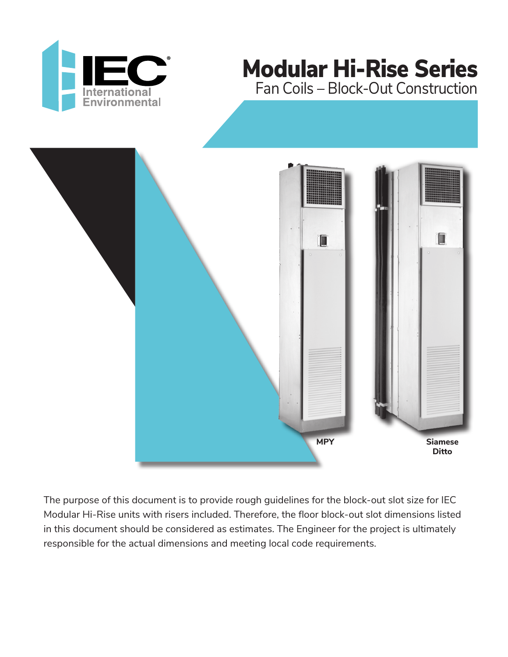

# Modular Hi-Rise Series Fan Coils – Block-Out Construction



The purpose of this document is to provide rough guidelines for the block-out slot size for IEC Modular Hi-Rise units with risers included. Therefore, the floor block-out slot dimensions listed in this document should be considered as estimates. The Engineer for the project is ultimately responsible for the actual dimensions and meeting local code requirements.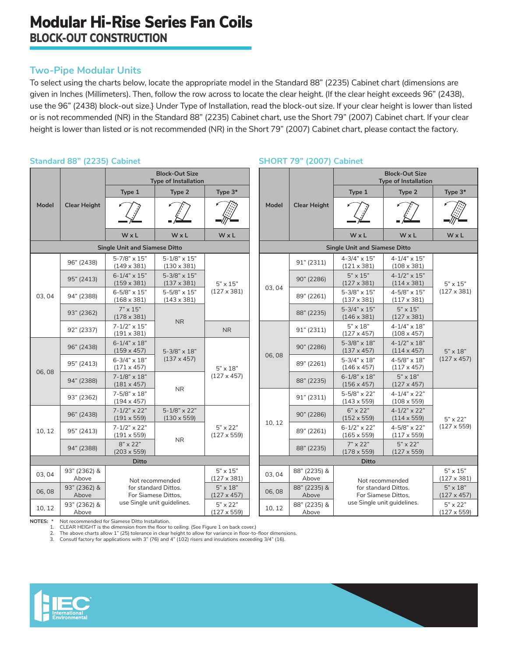## **Two-Pipe Modular Units**

To select using the charts below, locate the appropriate model in the Standard 88" (2235) Cabinet chart (dimensions are given in Inches (Millimeters). Then, follow the row across to locate the clear height. (If the clear height exceeds 96" (2438), use the 96" (2438) block-out size.} Under Type of Installation, read the block-out size. If your clear height is lower than listed or is not recommended (NR) in the Standard 88" (2235) Cabinet chart, use the Short 79" (2007) Cabinet chart. If your clear height is lower than listed or is not recommended (NR) in the Short 79" (2007) Cabinet chart, please contact the factory.

### **Standard 88" (2235) Cabinet**

| <b>Model</b>                         | <b>Clear Height</b>   | <b>Block-Out Size</b><br><b>Type of Installation</b> |                                                          |                                       |  |              |  |  |  |  |
|--------------------------------------|-----------------------|------------------------------------------------------|----------------------------------------------------------|---------------------------------------|--|--------------|--|--|--|--|
|                                      |                       | Type 1<br>Type 2                                     |                                                          | Type 3*                               |  |              |  |  |  |  |
|                                      |                       |                                                      |                                                          |                                       |  | <b>Model</b> |  |  |  |  |
|                                      |                       | WxL                                                  | WxL                                                      | WxL                                   |  |              |  |  |  |  |
| <b>Single Unit and Siamese Ditto</b> |                       |                                                      |                                                          |                                       |  |              |  |  |  |  |
| 03,04                                | 96" (2438)            | 5-7/8" x 15"<br>$(149 \times 381)$                   | $5 - 1/8" \times 15"$<br>$(130 \times 381)$              |                                       |  |              |  |  |  |  |
|                                      | 95" (2413)            | $6 - 1/4" \times 15"$<br>$(159 \times 381)$          | $5 - 3/8" \times 15"$<br>$(137 \times 381)$              | $5" \times 15"$                       |  |              |  |  |  |  |
|                                      | 94" (2388)            | $6 - 5/8" \times 15"$<br>$(168 \times 381)$          | $(127 \times 381)$<br>5-5/8" x 15"<br>$(143 \times 381)$ |                                       |  | 03, 04       |  |  |  |  |
|                                      | 93" (2362)            | $7" \times 15"$<br>$(178 \times 381)$                |                                                          |                                       |  |              |  |  |  |  |
|                                      | 92" (2337)            | $7 - 1/2" \times 15"$<br>$(191 \times 381)$          | <b>NR</b>                                                | N <sub>R</sub>                        |  |              |  |  |  |  |
| 06,08                                | 96" (2438)            | $6 - 1/4" \times 18"$<br>$(159 \times 457)$          | 5-3/8" x 18"                                             | $5" \times 18"$<br>$(127 \times 457)$ |  | 06,08        |  |  |  |  |
|                                      | 95" (2413)            | $6 - 3/4" \times 18"$<br>$(171 \times 457)$          | $(137 \times 457)$                                       |                                       |  |              |  |  |  |  |
|                                      | 94" (2388)            | $7 - 1/8" \times 18"$<br>$(181 \times 457)$          | <b>NR</b>                                                |                                       |  |              |  |  |  |  |
|                                      | 93" (2362)            | $7 - 5/8" \times 18"$<br>$(194 \times 457)$          |                                                          |                                       |  |              |  |  |  |  |
| 10, 12                               | 96" (2438)            | $7 - 1/2" \times 22"$<br>$(191 \times 559)$          | $5 - 1/8" \times 22"$<br>$(130 \times 559)$              | $5" \times 22"$<br>$(127 \times 559)$ |  | 10, 12       |  |  |  |  |
|                                      | 95" (2413)            | $7 - 1/2" \times 22"$<br>$(191 \times 559)$          |                                                          |                                       |  |              |  |  |  |  |
|                                      | 94" (2388)            | <b>NR</b><br>$8" \times 22"$<br>$(203 \times 559)$   |                                                          |                                       |  |              |  |  |  |  |
| <b>Ditto</b>                         |                       |                                                      |                                                          |                                       |  |              |  |  |  |  |
| 03.04                                | 93" (2362) &<br>Above |                                                      | Not recommended                                          | $5" \times 15"$<br>$(127 \times 381)$ |  | 03.04        |  |  |  |  |
| 06,08                                | 93" (2362) &<br>Above | for standard Dittos.<br>For Siamese Dittos,          |                                                          | 06,08                                 |  |              |  |  |  |  |
| 10, 12                               | 93" (2362) &<br>Above |                                                      | use Single unit guidelines.                              | $5" \times 22"$<br>$(127 \times 559)$ |  | 10, 12       |  |  |  |  |

#### **SHORT 79" (2007) Cabinet Model Clear Height Block-Out Size Type of Installation Type 1 Type 2 Type 3\* W x L W x L W x L Single Unit and Siamese Ditto** 91" (2311)  $4-3/4$ " x 15" (121 x 381) 4-1/4" x 15" (108 x 381) 5" x 15" (127 x 381) 90" (2286)  $5" \times 15"$ (127 x 381) 4-1/2" x 15" (114 x 381)  $89" (2261)$  5-3/8" x 15" (137 x 381) 4-5/8" x 15" (117 x 381) 88" (2235) 5-3/4" x 15" (146 x 381) 5" x 15" (127 x 381) 91" (2311)  $5" \times 18"$ (127 x 457) 4-1/4" x 18" (108 x 457) 5" x 18" (127 x 457) 90" (2286)  $5-3/8$ " x 18" (137 x 457) 4-1/2" x 18" (114 x 457) 89" (2261)  $5-3/4$ " x 18" (146 x 457)  $4 - 5/8" \times 18"$ (117 x 457) 88" (2235) 6-1/8" x 18" (156 x 457) 5" x 18" (127 x 457) 91" (2311)  $5-5/8$ " x 22" (143 x 559) 4-1/4" x 22" (108 x 559) 5" x 22" (127 x 559) 90" (2286) 6" x 22" (152 x 559) 4-1/2" x 22" (114 x 559) 89" (2261)  $6-1/2$ " x 22" (165 x 559) 4-5/8" x 22" (117 x 559) 88" (2235)  $7" \times 22"$ (178 x 559) 5" x 22" (127 x 559) **Ditto** 88" (2235) &<br>Ahove Not recommended for standard Dittos. For Siamese Dittos, use Single unit guidelines. 5" x 15" (127 x 381) 88" (2235) & Above 5" x 18" (127 x 457) 88" (2235) & Above 5" x 22" (127 x 559)

**NOTES:** \* Not recommended for Siamese Ditto Installation.

1. CLEAR HEIGHT is the dimension from the floor to ceiling. (See Figure 1 on back cover.)

2. The above charts allow 1" (25) tolerance in clear height to allow for variance in floor-to-floor dimensions.

3. Consutl factory for applications with 3" (76) and 4" (102) risers and insulations exceeding 3/4" (16).

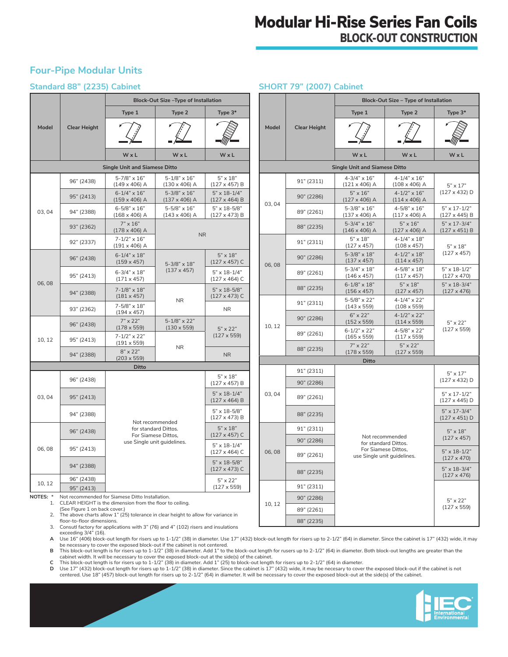## Modular Hi-Rise Series Fan Coils BLOCK-OUT CONSTRUCTION

**SHORT 79" (2007) Cabinet**

## **Four-Pipe Modular Units**

### **Standard 88" (2235) Cabinet**

|                                                                                                                       |                                                 | Block-Out Size-Type of Installation                                                           |                                               |                                               |                                      |                                         | Block-Out Size - Type of Installation              |                                               |                                                      |  |
|-----------------------------------------------------------------------------------------------------------------------|-------------------------------------------------|-----------------------------------------------------------------------------------------------|-----------------------------------------------|-----------------------------------------------|--------------------------------------|-----------------------------------------|----------------------------------------------------|-----------------------------------------------|------------------------------------------------------|--|
|                                                                                                                       |                                                 | Type 1                                                                                        | Type 2                                        | Type 3*                                       |                                      |                                         | Type 1                                             | Type 2                                        | Type 3*                                              |  |
| Model                                                                                                                 | <b>Clear Height</b>                             |                                                                                               |                                               |                                               | Model                                | <b>Clear Height</b>                     |                                                    |                                               |                                                      |  |
|                                                                                                                       |                                                 | WxL                                                                                           | WxL                                           | WxL                                           |                                      |                                         | WxL                                                | WxL                                           | WxL                                                  |  |
| <b>Single Unit and Siamese Ditto</b>                                                                                  |                                                 |                                                                                               |                                               |                                               | <b>Single Unit and Siamese Ditto</b> |                                         |                                                    |                                               |                                                      |  |
| 03.04                                                                                                                 | 96" (2438)                                      | $5 - 7/8" \times 16"$<br>$(149 \times 406)$ A                                                 | $5 - 1/8" \times 16"$<br>$(130 \times 406)$ A | $5" \times 18"$<br>$(127 \times 457)$ B       |                                      | 91" (2311)                              | $4 - 3/4" \times 16"$<br>$(121 \times 406)$ A      | $4 - 1/4" \times 16"$<br>$(108 \times 406)$ A | $5" \times 17"$<br>$(127 \times 432)$ D              |  |
|                                                                                                                       | 95" (2413)                                      | $6 - 1/4" \times 16"$<br>$(159 \times 406)$ A                                                 | $5 - 3/8" \times 16"$<br>$(137 \times 406)$ A | $5" \times 18 - 1/4"$<br>$(127 \times 464)$ B | 03, 04                               | 90" (2286)                              | $5" \times 16"$<br>$(127 \times 406)$ A            | $4 - 1/2" \times 16"$<br>$(114 \times 406)$ A |                                                      |  |
|                                                                                                                       | 94" (2388)                                      | $6 - 5/8" \times 16"$<br>$(168 \times 406)$ A                                                 | $5 - 5/8" \times 16"$<br>$(143 \times 406)$ A | 5" x 18-5/8"<br>$(127 \times 473)$ B          |                                      | 89" (2261)                              | $5 - 3/8" \times 16"$<br>$(137 \times 406)$ A      | $4 - 5/8" \times 16"$<br>$(117 \times 406)$ A | $5" \times 17 - 1/2"$<br>$(127 \times 445)$ B        |  |
|                                                                                                                       | 93" (2362)                                      | $7" \times 16"$<br>$(178 \times 406)$ A                                                       |                                               |                                               |                                      | 88" (2235)                              | $5 - 3/4" \times 16"$<br>$(146 \times 406)$ A      | $5" \times 16"$<br>$(127 \times 406)$ A       | $5" \times 17 - \frac{3}{4"$<br>$(127 \times 451)$ B |  |
|                                                                                                                       | 92" (2337)                                      | $7 - 1/2" \times 16"$<br>$(191 \times 406)$ A                                                 | <b>NR</b>                                     |                                               | 91" (2311)                           | $5" \times 18"$<br>$(127 \times 457)$   | $4 - 1/4" \times 18"$<br>$(108 \times 457)$        | $5" \times 18"$                               |                                                      |  |
| 06,08                                                                                                                 | 96" (2438)                                      | $6 - 1/4" \times 18"$<br>$(159 \times 457)$                                                   | 5-3/8" x 18"                                  | $5" \times 18"$<br>$(127 \times 457)$ C       |                                      | 90" (2286)                              | 5-3/8" x 18"<br>$(137 \times 457)$                 | $4 - 1/2" \times 18"$<br>$(114 \times 457)$   | $(127 \times 457)$                                   |  |
|                                                                                                                       | 95" (2413)                                      | $6 - 3/4" \times 18"$<br>$(171 \times 457)$                                                   | $(137 \times 457)$                            | $5" \times 18 - 1/4"$<br>$(127 \times 464)$ C | 06,08                                | 89" (2261)                              | $5 - 3/4" \times 18"$<br>$(146 \times 457)$        | 4-5/8" x 18"<br>$(117 \times 457)$            | $5" \times 18 - 1/2"$<br>$(127 \times 470)$          |  |
|                                                                                                                       | 94" (2388)                                      | $7 - 1/8" \times 18"$                                                                         | <b>NR</b>                                     | 5" x 18-5/8"                                  |                                      | 88" (2235)                              | $6 - 1/8" \times 18"$<br>$(156 \times 457)$        | $5" \times 18"$<br>$(127 \times 457)$         | $5" \times 18 - \frac{3}{4"$<br>$(127 \times 476)$   |  |
|                                                                                                                       | 93" (2362)                                      | $(181 \times 457)$<br>7-5/8" x 18"                                                            |                                               | $(127 \times 473)$ C<br><b>NR</b>             | 91" (2311)                           | 5-5/8" x 22"<br>$(143 \times 559)$      | $4 - 1/4" \times 22"$<br>$(108 \times 559)$        |                                               |                                                      |  |
|                                                                                                                       | 96" (2438)                                      | $(194 \times 457)$<br>$7" \times 22"$                                                         | $5 - 1/8" \times 22"$                         |                                               | 10, 12                               | 90" (2286)                              | $6" \times 22"$<br>$(152 \times 559)$              | $4 - 1/2" \times 22"$<br>$(114 \times 559)$   | $5" \times 22"$                                      |  |
| 10, 12                                                                                                                | 95" (2413)                                      | $(178 \times 559)$<br>$7 - 1/2" \times 22"$                                                   | $(130 \times 559)$<br><b>NR</b>               | $5" \times 22"$<br>$(127 \times 559)$         |                                      | 89" (2261)                              | $6 - 1/2" \times 22"$<br>$(165 \times 559)$        | 4-5/8" x 22"<br>$(117 \times 559)$            | $(127 \times 559)$                                   |  |
|                                                                                                                       | 94" (2388)                                      | $(191 \times 559)$<br>$8" \times 22"$                                                         |                                               | N <sub>R</sub>                                |                                      | 88" (2235)                              | $7" \times 22"$<br>$(178 \times 559)$              | $5" \times 22"$<br>$(127 \times 559)$         |                                                      |  |
|                                                                                                                       | $(203 \times 559)$<br><b>Ditto</b>              |                                                                                               |                                               |                                               |                                      | Ditto                                   |                                                    |                                               |                                                      |  |
|                                                                                                                       |                                                 |                                                                                               |                                               | $5" \times 18"$                               |                                      | 91" (2311)                              |                                                    |                                               | $5" \times 17"$                                      |  |
|                                                                                                                       | 96" (2438)                                      |                                                                                               |                                               | $(127 \times 457)$ B                          |                                      | 90" (2286)                              |                                                    |                                               | $(127 \times 432)$ D                                 |  |
| 03,04                                                                                                                 | 95" (2413)                                      |                                                                                               |                                               | $5" \times 18 - 1/4"$<br>$(127 \times 464)$ B | 03,04                                | 89" (2261)                              |                                                    |                                               | $5" \times 17 - 1/2"$<br>$(127 \times 445)$ D        |  |
|                                                                                                                       | 94" (2388)                                      |                                                                                               |                                               | 5" x 18-5/8"<br>$(127 \times 473)$ B          |                                      | 88" (2235)                              |                                                    |                                               | $5" \times 17 - \frac{3}{4"$<br>$(127 \times 451)$ D |  |
| 06,08                                                                                                                 | 96" (2438)                                      | Not recommended<br>for standard Dittos.<br>For Siamese Dittos,<br>use Single unit guidelines. |                                               | $5" \times 18"$                               |                                      | 91" (2311)                              |                                                    |                                               | $5" \times 18"$                                      |  |
|                                                                                                                       |                                                 |                                                                                               |                                               | $(127 \times 457)$ C<br>$5" \times 18 - 1/4"$ | 90" (2286)                           | Not recommended<br>for standard Dittos. |                                                    | $(127 \times 457)$                            |                                                      |  |
|                                                                                                                       | 95" (2413)                                      |                                                                                               |                                               | $(127 \times 464)$ C                          | 06,08<br>5" x 18-5/8"                | 89" (2261)                              | For Siamese Dittos,<br>use Single unit guidelines. |                                               | $5" \times 18 - 1/2"$<br>$(127 \times 470)$          |  |
|                                                                                                                       | 94" (2388)                                      |                                                                                               |                                               | $(127 \times 473)$ C                          |                                      | 88" (2235)                              |                                                    |                                               | $5" \times 18 - \frac{3}{4"$<br>$(127 \times 476)$   |  |
| 10, 12                                                                                                                | 96" (2438)<br>95" (2413)                        |                                                                                               |                                               | 5" x 22"<br>$(127 \times 559)$                |                                      | 91" (2311)                              |                                                    |                                               |                                                      |  |
| NOTES: *                                                                                                              | Not recommended for Siamese Ditto Installation. |                                                                                               |                                               |                                               | 90" (2286)                           |                                         |                                                    | $5" \times 22"$                               |                                                      |  |
| CLEAR HEIGHT is the dimension from the floor to ceiling.<br>1.<br>(See Figure 1 on back cover.)                       |                                                 |                                                                                               |                                               |                                               | 10, 12                               | 89" (2261)                              |                                                    |                                               | $(127 \times 559)$                                   |  |
| The above charts allow 1" (25) tolerance in clear height to allow for variance in<br>2.<br>floor-to-floor dimensions. |                                                 |                                                                                               |                                               |                                               |                                      | 88" (2235)                              |                                                    |                                               |                                                      |  |

floor-to-floor dimensions.

3. Consutl factory for applications with 3" (76) and 4" (102) risers and insulations exceeding 3/4" (16).

**A** Use 16" (406) block-out length for risers up to 1-1/2" (38) in diameter. Use 17" (432) block-out length for risers up to 2-1/2" (64) in diameter. Since the cabinet is 17" (432) wide, it may

be necessary to cover the exposed block-out if the cabinet is not centered.<br>B This block-out length is for risers up to 1-1/2" (38) in diameter. Add 1" to the block-out length for rusers up to 2-1/2" (64) in diameter. Both cabinet width. It will be necessary to cover the exposed block-out at the side(s) of the cabinet.

**C** This block-out length is for risers up to 1-1/2" (38) in diameter. Add 1" (25) to block-out length for risers up to 2-1/2" (64) in diameter.

**D** Use 17" (432) block-out length for risers up to 1-1/2" (38) in diameter. Since the cabinet is 17" (432) wide, it may be necesary to cover the exposed block-out if the cabinet is not centered. Use 18" (457) block-out length for risers up to 2-1/2" (64) in diameter. It will be necessary to cover the exposed block-out at the side(s) of the cabinet.